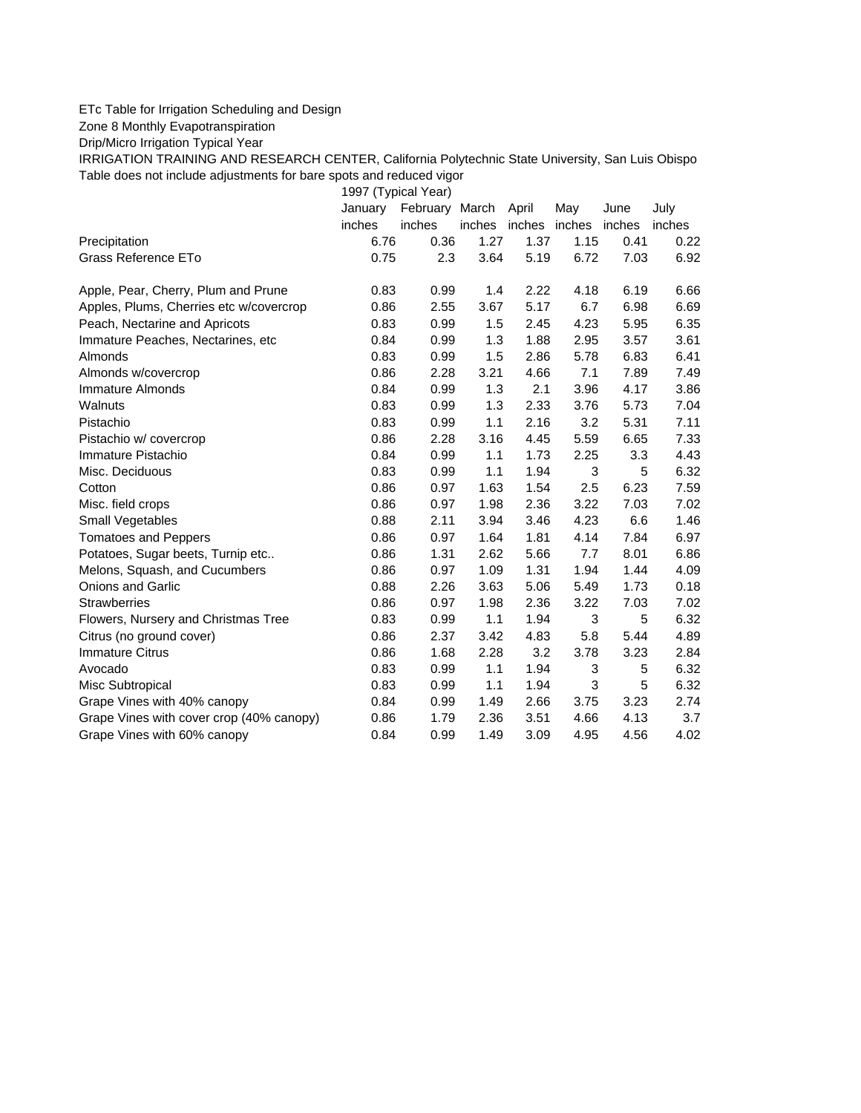## ETc Table for Irrigation Scheduling and Design

Zone 8 Monthly Evapotranspiration

Drip/Micro Irrigation Typical Year

IRRIGATION TRAINING AND RESEARCH CENTER, California Polytechnic State University, San Luis Obispo Table does not include adjustments for bare spots and reduced vigor

1997 (Typical Year)

|                                          | January | February March |        | April | May           | June   | July   |
|------------------------------------------|---------|----------------|--------|-------|---------------|--------|--------|
|                                          | inches  | inches         | inches |       | inches inches | inches | inches |
| Precipitation                            | 6.76    | 0.36           | 1.27   | 1.37  | 1.15          | 0.41   | 0.22   |
| Grass Reference ETo                      | 0.75    | 2.3            | 3.64   | 5.19  | 6.72          | 7.03   | 6.92   |
| Apple, Pear, Cherry, Plum and Prune      | 0.83    | 0.99           | 1.4    | 2.22  | 4.18          | 6.19   | 6.66   |
| Apples, Plums, Cherries etc w/covercrop  | 0.86    | 2.55           | 3.67   | 5.17  | 6.7           | 6.98   | 6.69   |
| Peach, Nectarine and Apricots            | 0.83    | 0.99           | 1.5    | 2.45  | 4.23          | 5.95   | 6.35   |
| Immature Peaches, Nectarines, etc        | 0.84    | 0.99           | 1.3    | 1.88  | 2.95          | 3.57   | 3.61   |
| Almonds                                  | 0.83    | 0.99           | 1.5    | 2.86  | 5.78          | 6.83   | 6.41   |
| Almonds w/covercrop                      | 0.86    | 2.28           | 3.21   | 4.66  | 7.1           | 7.89   | 7.49   |
| Immature Almonds                         | 0.84    | 0.99           | 1.3    | 2.1   | 3.96          | 4.17   | 3.86   |
| Walnuts                                  | 0.83    | 0.99           | 1.3    | 2.33  | 3.76          | 5.73   | 7.04   |
| Pistachio                                | 0.83    | 0.99           | 1.1    | 2.16  | 3.2           | 5.31   | 7.11   |
| Pistachio w/ covercrop                   | 0.86    | 2.28           | 3.16   | 4.45  | 5.59          | 6.65   | 7.33   |
| Immature Pistachio                       | 0.84    | 0.99           | 1.1    | 1.73  | 2.25          | 3.3    | 4.43   |
| Misc. Deciduous                          | 0.83    | 0.99           | 1.1    | 1.94  | 3             | 5      | 6.32   |
| Cotton                                   | 0.86    | 0.97           | 1.63   | 1.54  | 2.5           | 6.23   | 7.59   |
| Misc. field crops                        | 0.86    | 0.97           | 1.98   | 2.36  | 3.22          | 7.03   | 7.02   |
| Small Vegetables                         | 0.88    | 2.11           | 3.94   | 3.46  | 4.23          | 6.6    | 1.46   |
| <b>Tomatoes and Peppers</b>              | 0.86    | 0.97           | 1.64   | 1.81  | 4.14          | 7.84   | 6.97   |
| Potatoes, Sugar beets, Turnip etc        | 0.86    | 1.31           | 2.62   | 5.66  | 7.7           | 8.01   | 6.86   |
| Melons, Squash, and Cucumbers            | 0.86    | 0.97           | 1.09   | 1.31  | 1.94          | 1.44   | 4.09   |
| <b>Onions and Garlic</b>                 | 0.88    | 2.26           | 3.63   | 5.06  | 5.49          | 1.73   | 0.18   |
| <b>Strawberries</b>                      | 0.86    | 0.97           | 1.98   | 2.36  | 3.22          | 7.03   | 7.02   |
| Flowers, Nursery and Christmas Tree      | 0.83    | 0.99           | 1.1    | 1.94  | 3             | 5      | 6.32   |
| Citrus (no ground cover)                 | 0.86    | 2.37           | 3.42   | 4.83  | 5.8           | 5.44   | 4.89   |
| <b>Immature Citrus</b>                   | 0.86    | 1.68           | 2.28   | 3.2   | 3.78          | 3.23   | 2.84   |
| Avocado                                  | 0.83    | 0.99           | 1.1    | 1.94  | 3             | 5      | 6.32   |
| Misc Subtropical                         | 0.83    | 0.99           | 1.1    | 1.94  | 3             | 5      | 6.32   |
| Grape Vines with 40% canopy              | 0.84    | 0.99           | 1.49   | 2.66  | 3.75          | 3.23   | 2.74   |
| Grape Vines with cover crop (40% canopy) | 0.86    | 1.79           | 2.36   | 3.51  | 4.66          | 4.13   | 3.7    |
| Grape Vines with 60% canopy              | 0.84    | 0.99           | 1.49   | 3.09  | 4.95          | 4.56   | 4.02   |